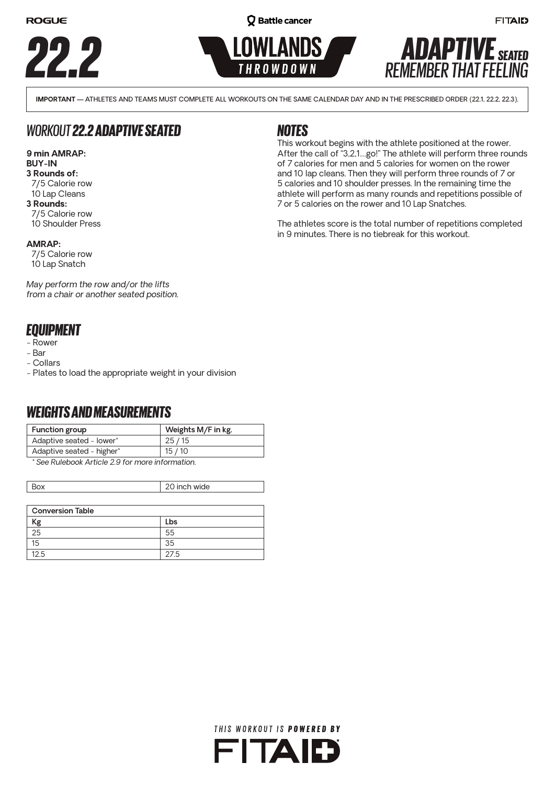







**FITAID** 

**IMPORTANT —** ATHLETES AND TEAMS MUST COMPLETE ALL WORKOUTS ON THE SAME CALENDAR DAY AND IN THE PRESCRIBED ORDER (22.1, 22.2, 22.3).

# *WORKOUT 22.2 ADAPTIVE SEATED*

#### **9 min AMRAP: BUY-IN**

#### **3 Rounds of:**

- 7/5 Calorie row
- 10 Lap Cleans
- **3 Rounds:**
- 7/5 Calorie row 10 Shoulder Press

#### **AMRAP:**

7/5 Calorie row 10 Lap Snatch

*May perform the row and/or the lifts from a chair or another seated position.*

# *EQUIPMENT*

- Rower
- Bar
- Collars
- Plates to load the appropriate weight in your division

# *WEIGHTS AND MEASUREMENTS*

| Function group            | Weights M/F in kg. |
|---------------------------|--------------------|
| Adaptive seated - lower*  | 25 / 15            |
| Adaptive seated - higher* | 15/10              |
|                           |                    |

*\* See Rulebook Article 2.9 for more information.*

| Box                     | 20 inch wide |  |  |
|-------------------------|--------------|--|--|
|                         |              |  |  |
| <b>Conversion Table</b> |              |  |  |
| Кg                      | Lbs          |  |  |
| 25                      | 55           |  |  |
| 15                      | 35           |  |  |
| 12.5                    | 27.5         |  |  |

### *NOTES*

This workout begins with the athlete positioned at the rower. After the call of "3,2,1…go!" The athlete will perform three rounds of 7 calories for men and 5 calories for women on the rower and 10 lap cleans. Then they will perform three rounds of 7 or 5 calories and 10 shoulder presses. In the remaining time the athlete will perform as many rounds and repetitions possible of 7 or 5 calories on the rower and 10 Lap Snatches.

The athletes score is the total number of repetitions completed in 9 minutes. There is no tiebreak for this workout.

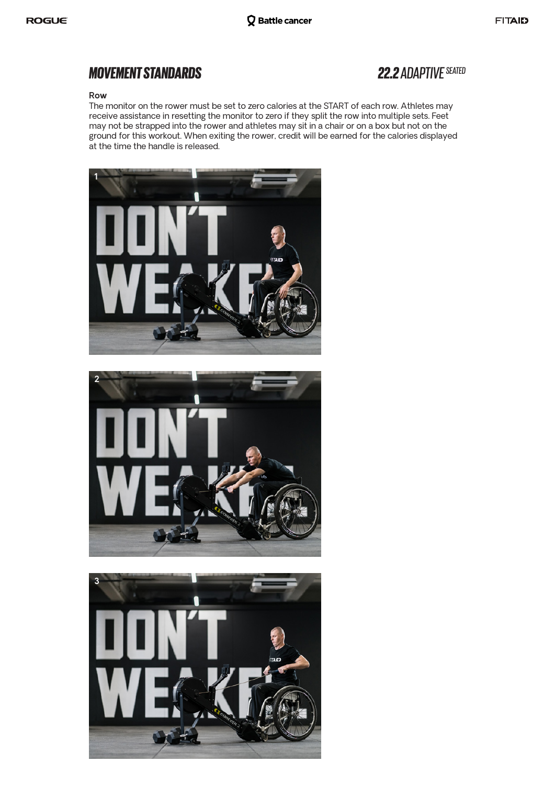#### **Row**

The monitor on the rower must be set to zero calories at the START of each row. Athletes may receive assistance in resetting the monitor to zero if they split the row into multiple sets. Feet may not be strapped into the rower and athletes may sit in a chair or on a box but not on the ground for this workout. When exiting the rower, credit will be earned for the calories displayed at the time the handle is released.





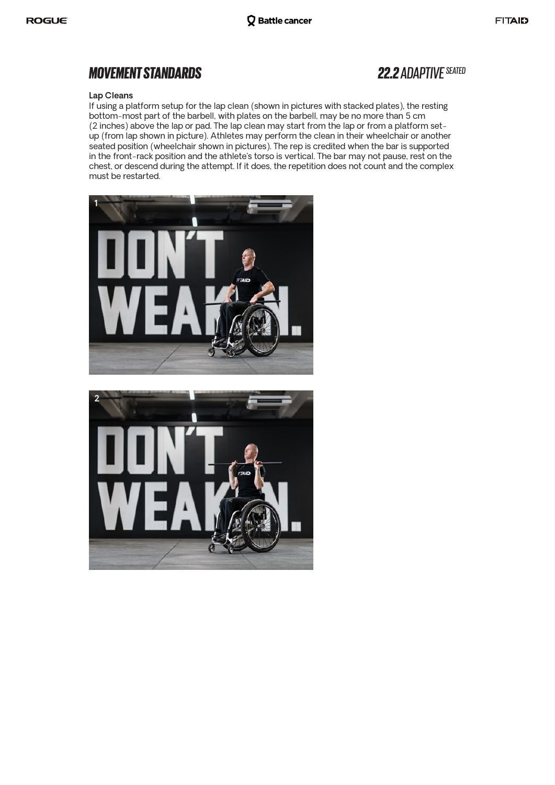#### **Lap Cleans**

If using a platform setup for the lap clean (shown in pictures with stacked plates), the resting bottom-most part of the barbell, with plates on the barbell, may be no more than 5 cm (2 inches) above the lap or pad. The lap clean may start from the lap or from a platform setup (from lap shown in picture). Athletes may perform the clean in their wheelchair or another seated position (wheelchair shown in pictures). The rep is credited when the bar is supported in the front-rack position and the athlete's torso is vertical. The bar may not pause, rest on the chest, or descend during the attempt. If it does, the repetition does not count and the complex must be restarted.



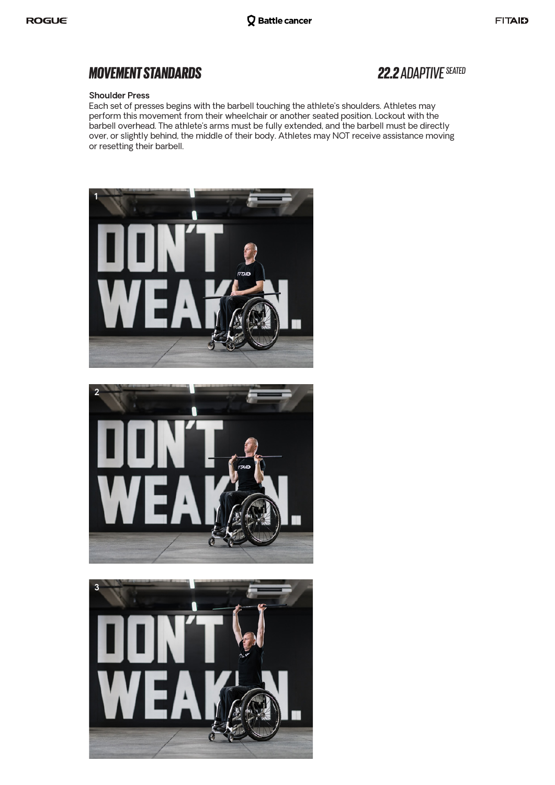#### **Shoulder Press**

Each set of presses begins with the barbell touching the athlete's shoulders. Athletes may perform this movement from their wheelchair or another seated position. Lockout with the barbell overhead. The athlete's arms must be fully extended, and the barbell must be directly over, or slightly behind, the middle of their body. Athletes may NOT receive assistance moving or resetting their barbell.





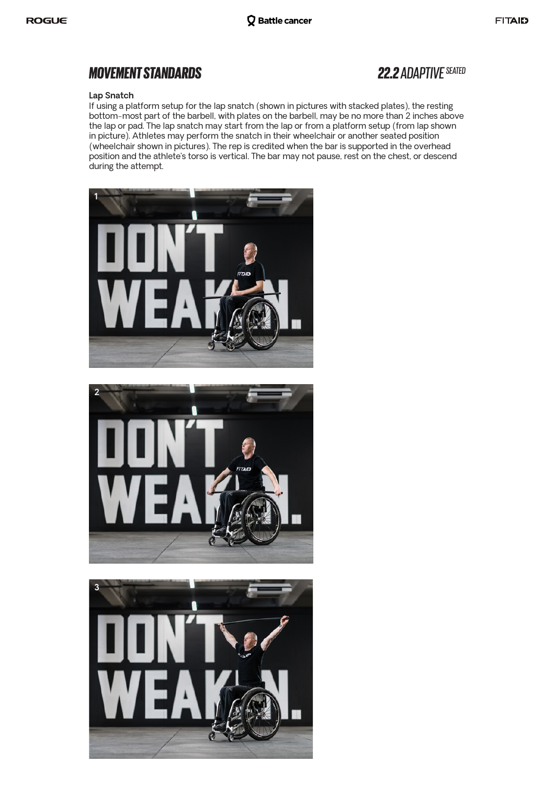#### **Lap Snatch**

If using a platform setup for the lap snatch (shown in pictures with stacked plates), the resting bottom-most part of the barbell, with plates on the barbell, may be no more than 2 inches above the lap or pad. The lap snatch may start from the lap or from a platform setup (from lap shown in picture). Athletes may perform the snatch in their wheelchair or another seated position (wheelchair shown in pictures). The rep is credited when the bar is supported in the overhead position and the athlete's torso is vertical. The bar may not pause, rest on the chest, or descend during the attempt.





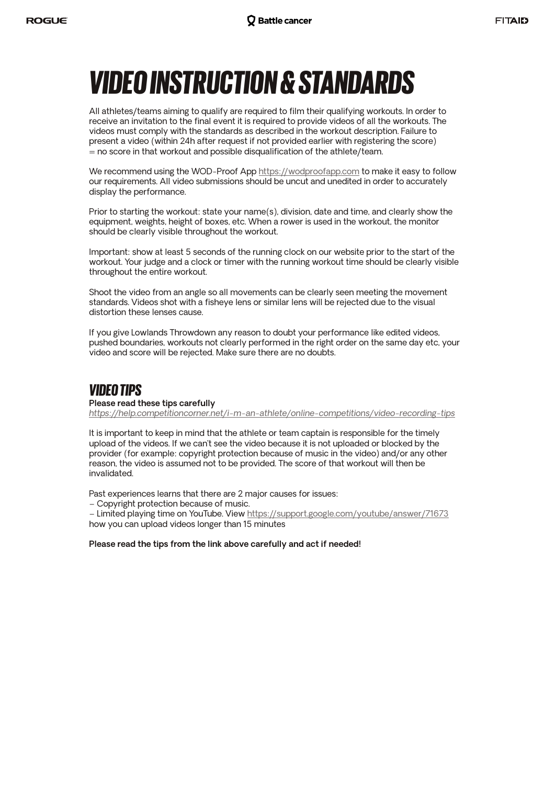# *VIDEO INSTRUCTION & STANDARDS*

All athletes/teams aiming to qualify are required to film their qualifying workouts. In order to receive an invitation to the final event it is required to provide videos of all the workouts. The videos must comply with the standards as described in the workout description. Failure to present a video (within 24h after request if not provided earlier with registering the score)  $=$  no score in that workout and possible disqualification of the athlete/team.

We recommend using the WOD-Proof App https://wodproofapp.com to make it easy to follow our requirements. All video submissions should be uncut and unedited in order to accurately display the performance.

Prior to starting the workout: state your name(s), division, date and time, and clearly show the equipment, weights, height of boxes, etc. When a rower is used in the workout, the monitor should be clearly visible throughout the workout.

Important: show at least 5 seconds of the running clock on our website prior to the start of the workout. Your judge and a clock or timer with the running workout time should be clearly visible throughout the entire workout.

Shoot the video from an angle so all movements can be clearly seen meeting the movement standards. Videos shot with a fisheye lens or similar lens will be rejected due to the visual distortion these lenses cause.

If you give Lowlands Throwdown any reason to doubt your performance like edited videos, pushed boundaries, workouts not clearly performed in the right order on the same day etc, your video and score will be rejected. Make sure there are no doubts.

### *VIDEO TIPS*

#### **Please read these tips carefully**

*https://help.competitioncorner.net/i-m-an-athlete/online-competitions/video-recording-tips*

It is important to keep in mind that the athlete or team captain is responsible for the timely upload of the videos. If we can't see the video because it is not uploaded or blocked by the provider (for example: copyright protection because of music in the video) and/or any other reason, the video is assumed not to be provided. The score of that workout will then be invalidated.

Past experiences learns that there are 2 major causes for issues:

– Copyright protection because of music.

– Limited playing time on YouTube. View https://support.google.com/youtube/answer/71673 how you can upload videos longer than 15 minutes

#### **Please read the tips from the link above carefully and act if needed!**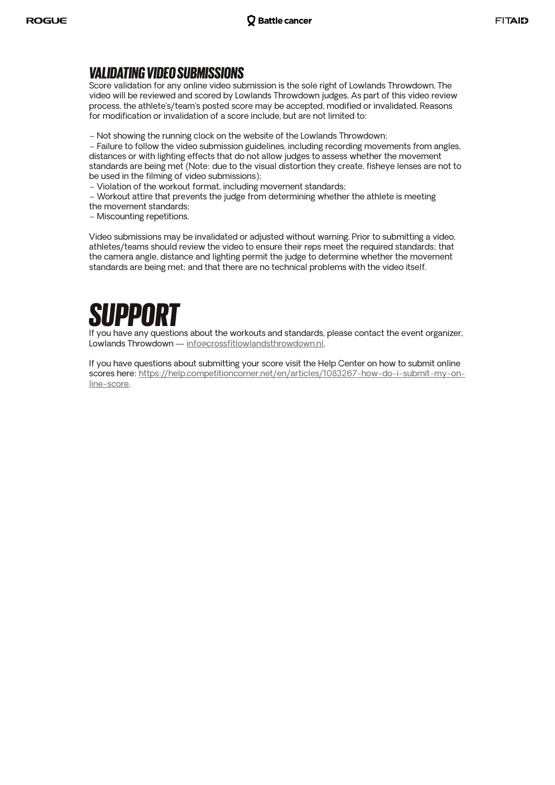### *VALIDATING VIDEO SUBMISSIONS*

Score validation for any online video submission is the sole right of Lowlands Throwdown. The video will be reviewed and scored by Lowlands Throwdown judges. As part of this video review process, the athlete's/team's posted score may be accepted, modified or invalidated. Reasons for modification or invalidation of a score include, but are not limited to:

– Not showing the running clock on the website of the Lowlands Throwdown;

– Failure to follow the video submission guidelines, including recording movements from angles, distances or with lighting effects that do not allow judges to assess whether the movement standards are being met (Note: due to the visual distortion they create, fisheye lenses are not to be used in the filming of video submissions);

– Violation of the workout format, including movement standards;

– Workout attire that prevents the judge from determining whether the athlete is meeting

- the movement standards;
- Miscounting repetitions.

Video submissions may be invalidated or adjusted without warning. Prior to submitting a video, athletes/teams should review the video to ensure their reps meet the required standards; that the camera angle, distance and lighting permit the judge to determine whether the movement standards are being met; and that there are no technical problems with the video itself.



If you have any questions about the workouts and standards, please contact the event organizer, Lowlands Throwdown — info@crossfitlowlandsthrowdown.nl.

If you have questions about submitting your score visit the Help Center on how to submit online scores here: https://help.competitioncorner.net/en/articles/1083267-how-do-i-submit-my-online-score.